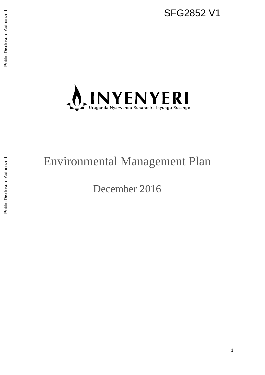

# Environmental Management Plan

December 2016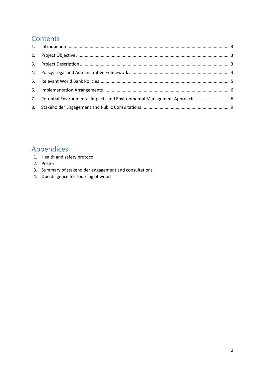# **Contents**

| 7. Potential Environmental Impacts and Environmental Management Approach  6 |  |
|-----------------------------------------------------------------------------|--|
|                                                                             |  |

# Appendices

- 1. Health and safety protocol
- 2. Poster
- 3. Summary of stakeholder engagement and consultations
- 4. Due diligence for sourcing of wood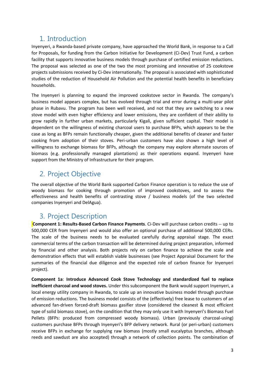### <span id="page-2-0"></span>1. Introduction

Inyenyeri, a Rwanda-based private company, have approached the World Bank, in response to a Call for Proposals, for funding from the Carbon Initiative for Development (Ci-Dev) Trust Fund, a carbon facility that supports innovative business models through purchase of certified emission reductions. The proposal was selected as one of the two the most promising and innovative of 25 cookstove projects submissions received by Ci-Dev internationally. The proposal is associated with sophisticated studies of the reduction of Household Air Pollution and the potential health benefits in beneficiary households.

The Inyenyeri is planning to expand the improved cookstove sector in Rwanda. The company's business model appears complex, but has evolved through trial and error during a multi-year pilot phase in Rubavu. The program has been well received, and not that they are switching to a new stove model with even higher efficiency and lower emissions, they are confident of their ability to grow rapidly in further urban markets, particularly Kigali, given sufficient capital. Their model is dependent on the willingness of existing charcoal users to purchase BFPs, which appears to be the case as long as BFPs remain functionally cheaper, given the additional benefits of cleaner and faster cooking from adoption of their stoves. Peri-urban customers have also shown a high level of willingness to exchange biomass for BFPs, although the company may explore alternate sources of biomass (e.g. professionally managed plantations) as their operations expand. Inyenyeri have support from the Ministry of Infrastructure for their program.

# <span id="page-2-1"></span>2. Project Objective

The overall objective of the World Bank supported Carbon Finance operation is to reduce the use of woody biomass for cooking through promotion of improved cookstoves, and to assess the effectiveness and health benefits of contrasting stove / business models (of the two selected companies Inyenyeri and DelAgua).

# <span id="page-2-2"></span>3. Project Description

**Component 1: Results-Based Carbon Finance Payments**. Ci-Dev will purchase carbon credits -- up to 500,000 CER from Inyenyeri and would also offer an optional purchase of additional 500,000 CERs. The scale of the business needs to be evaluated carefully during appraisal stage. The exact commercial terms of the carbon transaction will be determined during project preparation, informed by financial and other analysis. Both projects rely on carbon finance to achieve the scale and demonstration effects that will establish viable businesses (see Project Appraisal Document for the summaries of the financial due diligence and the expected role of carbon finance for Inyenyeri project).

**Component 1a**: **Introduce Advanced Cook Stove Technology and standardized fuel to replace inefficient charcoal and wood stoves.** Under this subcomponent the Bank would support Inyenyeri, a local energy utility company in Rwanda, to scale up an innovative business model through purchase of emission reductions. The business model consists of the (effectively) free lease to customers of an advanced fan-driven forced-draft biomass gasifier stove (considered the cleanest & most efficient type of solid biomass stove), on the condition that they may only use it with Inyenyeri's Biomass Fuel Pellets (BFPs: produced from compressed woody biomass). Urban (previously charcoal-using) customers purchase BFPs through Inyenyeri's BFP delivery network. Rural (or peri-urban) customers receive BFPs in exchange for supplying raw biomass (mostly small eucalyptus branches, although reeds and sawdust are also accepted) through a network of collection points. The combination of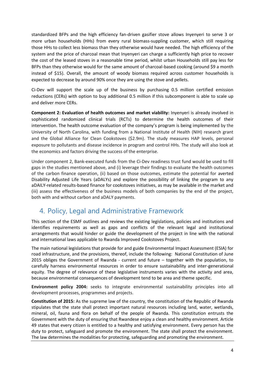standardized BFPs and the high efficiency fan-driven gasifier stove allows Inyenyeri to serve 3 or more urban households (HHs) from every rural biomass-suppling customer, which still requiring those HHs to collect less biomass than they otherwise would have needed. The high efficiency of the system and the price of charcoal mean that Inyenyeri can charge a sufficiently high price to recover the cost of the leased stoves in a reasonable time period, whilst urban Households still pay less for BFPs than they otherwise would for the same amount of charcoal-based cooking (around \$9 a month instead of \$15). Overall, the amount of woody biomass required across customer households is expected to decrease by around 90% once they are using the stove and pellets.

Ci-Dev will support the scale up of the business by purchasing 0.5 million certified emission reductions (CERs) with option to buy additional 0.5 million if this subcomponent is able to scale up and deliver more CERs.

**Component 2: Evaluation of health outcomes and market viability:** Inyenyeri is already involved in sophisticated randomized clinical trials (RCTs) to determine the health outcomes of their intervention. The health outcome evaluation of the company's program is being implemented by the University of North Carolina, with funding from a National Institute of Health (NIH) research grant and the Global Alliance for Clean Cookstoves (\$2.9m). The study measures HAP levels, personal exposure to pollutants and disease incidence in program and control HHs. The study will also look at the economics and factors driving the success of the enterprise.

Under component 2, Bank-executed funds from the Ci-Dev readiness trust fund would be used to fill gaps in the studies mentioned above, and (i) leverage their findings to evaluate the health outcomes of the carbon finance operation, (ii) based on those outcomes, estimate the potential for averted Disability Adjusted Life Years (aDALYs) and explore the possibility of linking the program to any aDAILY-related results-based finance for cookstoves initiatives, as may be available in the market and (iii) assess the effectiveness of the business models of both companies by the end of the project, both with and without carbon and aDALY payments.

### <span id="page-3-0"></span>4. Policy, Legal and Administrative Framework

This section of the ESMF outlines and reviews the existing legislations, policies and institutions and identifies requirements as well as gaps and conflicts of the relevant legal and institutional arrangements that would hinder or guide the development of the project in line with the national and international laws applicable to Rwanda Improved Cookstoves Project.

The main national legislations that provide for and guide Environmental Impact Assessment (ESIA) for road infrastructure, and the provisions, thereof, include the following: National Constitution of June 2015 obliges the Government of Rwanda - current and future – together with the population, to carefully harness environmental resources in order to ensure sustainability and inter-generational equity. The degree of relevance of these legislative instruments varies with the activity and area, because environmental consequences of development tend to be area and theme specific.

**Environment policy 2004:** seeks to integrate environmental sustainability principles into all development processes, programmes and projects.

**Constitution of 2015:** As the supreme law of the country, the constitution of the Republic of Rwanda stipulates that the state shall protect important natural resources including land, water, wetlands, mineral, oil, fauna and flora on behalf of the people of Rwanda. This constitution entrusts the Government with the duty of ensuring that Rwandese enjoy a clean and healthy environment. Article 49 states that every citizen is entitled to a healthy and satisfying environment. Every person has the duty to protect, safeguard and promote the environment. The state shall protect the environment. The law determines the modalities for protecting, safeguarding and promoting the environment.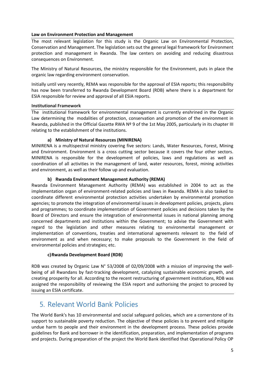#### **Law on Environment Protection and Management**

The most relevant legislation for this study is the Organic Law on Environmental Protection, Conservation and Management. The legislation sets out the general legal framework for Environment protection and management in Rwanda. The law centers on avoiding and reducing disastrous consequences on Environment.

The Ministry of Natural Resources, the ministry responsible for the Environment, puts in place the organic law regarding environment conservation.

Initially until very recently, REMA was responsible for the approval of ESIA reports; this responsibility has now been transferred to Rwanda Development Board (RDB) where there is a department for ESIA responsible for review and approval of all ESIA reports.

#### **Institutional Framework**

The institutional framework for environmental management is currently enshrined in the Organic Law determining the modalities of protection, conservation and promotion of the environment in Rwanda, published in the Official Gazette RWA Nº 9 of the 1st May 2005, particularly in its chapter III relating to the establishment of the institutions.

#### **a) Ministry of Natural Resources (MINIRENA)**

MINIRENA is a multispectral ministry covering five sectors: Lands, Water Resources, Forest, Mining and Environment. Environment is a cross cutting sector because it covers the four other sectors. MINIRENA is responsible for the development of policies, laws and regulations as well as coordination of all activities in the management of land, water resources, forest, mining activities and environment, as well as their follow up and evaluation.

#### **b) Rwanda Environment Management Authority (REMA)**

Rwanda Environment Management Authority (REMA) was established in 2004 to act as the implementation organ of environment-related policies and laws in Rwanda. REMA is also tasked to coordinate different environmental protection activities undertaken by environmental promotion agencies; to promote the integration of environmental issues in development policies, projects, plans and programmes; to coordinate implementation of Government policies and decisions taken by the Board of Directors and ensure the integration of environmental issues in national planning among concerned departments and institutions within the Government; to advise the Government with regard to the legislation and other measures relating to environmental management or implementation of conventions, treaties and international agreements relevant to the field of environment as and when necessary; to make proposals to the Government in the field of environmental policies and strategies; etc.

#### **c)Rwanda Development Board (RDB)**

RDB was created by Organic Law N° 53/2008 of 02/09/2008 with a mission of improving the wellbeing of all Rwandans by fast-tracking development, catalyzing sustainable economic growth, and creating prosperity for all. According to the recent restructuring of government institutions, RDB was assigned the responsibility of reviewing the ESIA report and authorising the project to proceed by issuing an ESIA certificate.

### <span id="page-4-0"></span>5. Relevant World Bank Policies

The World Bank's has 10 environmental and social safeguard policies, which are a cornerstone of its support to sustainable poverty reduction. The objective of these policies is to prevent and mitigate undue harm to people and their environment in the development process. These policies provide guidelines for Bank and borrower in the identification, preparation, and implementation of programs and projects. During preparation of the project the World Bank identified that Operational Policy OP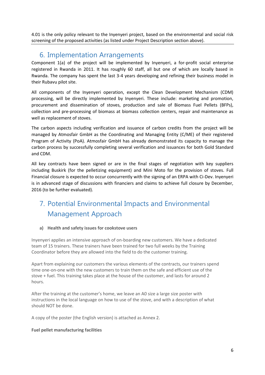4.01 is the only policy relevant to the Inyenyeri project, based on the environmental and social risk screening of the proposed activities (as listed under Project Description section above).

### <span id="page-5-0"></span>6. Implementation Arrangements

Component 1(a) of the project will be implemented by Inyenyeri, a for-profit social enterprise registered in Rwanda in 2011. It has roughly 60 staff, all but one of which are locally based in Rwanda. The company has spent the last 3-4 years developing and refining their business model in their Rubavu pilot site.

All components of the Inyenyeri operation, except the Clean Development Mechanism (CDM) processing, will be directly implemented by Inyenyeri. These include: marketing and promotion, procurement and dissemination of stoves, production and sale of Biomass Fuel Pellets (BFPs), collection and pre-processing of biomass at biomass collection centers, repair and maintenance as well as replacement of stoves.

The carbon aspects including verification and issuance of carbon credits from the project will be managed by Atmosfair GmbH as the Coordinating and Managing Entity (C/ME) of their registered Program of Activity (PoA). Atmosfair GmbH has already demonstrated its capacity to manage the carbon process by successfully completing several verification and issuances for both Gold Standard and CDM.

All key contracts have been signed or are in the final stages of negotiation with key suppliers including Buskirk (for the pelletizing equipment) and Mini Moto for the provision of stoves. Full Financial closure is expected to occur concurrently with the signing of an ERPA with Ci-Dev. Inyenyeri is in advanced stage of discussions with financiers and claims to achieve full closure by December, 2016 (to be further evaluated).

# <span id="page-5-1"></span>7. Potential Environmental Impacts and Environmental Management Approach

#### **a) Health and safety issues for cookstove users**

Inyenyeri applies an intensive approach of on-boarding new customers. We have a dedicated team of 15 trainers. These trainers have been trained for two full weeks by the Training Coordinator before they are allowed into the field to do the customer training.

Apart from explaining our customers the various elements of the contracts, our trainers spend time one-on-one with the new customers to train them on the safe and efficient use of the stove + fuel. This training takes place at the house of the customer, and lasts for around 2 hours.

After the training at the customer's home, we leave an A0 size a large size poster with instructions in the local language on how to use of the stove, and with a description of what should NOT be done.

A copy of the poster (the English version) is attached as Annex 2.

#### **Fuel pellet manufacturing facilities**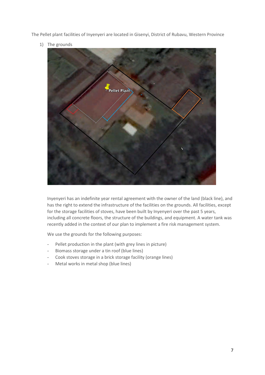The Pellet plant facilities of Inyenyeri are located in Gisenyi, District of Rubavu, Western Province

1) The grounds



Inyenyeri has an indefinite year rental agreement with the owner of the land (black line), and has the right to extend the infrastructure of the facilities on the grounds. All facilities, except for the storage facilities of stoves, have been built by Inyenyeri over the past 5 years, including all concrete floors, the structure of the buildings, and equipment. A water tank was recently added in the context of our plan to implement a fire risk management system.

We use the grounds for the following purposes:

- Pellet production in the plant (with grey lines in picture)
- Biomass storage under a tin roof (blue lines)
- Cook stoves storage in a brick storage facility (orange lines)
- Metal works in metal shop (blue lines)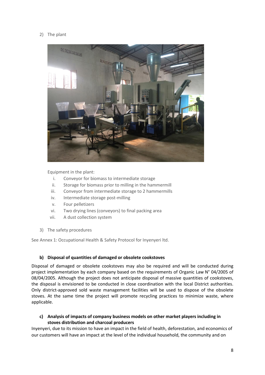#### 2) The plant



Equipment in the plant:

- i. Conveyor for biomass to intermediate storage
- ii. Storage for biomass prior to milling in the hammermill
- iii. Conveyor from intermediate storage to 2 hammermills
- iv. Intermediate storage post-milling
- v. Four pelletizers
- vi. Two drying lines (conveyors) to final packing area
- vii. A dust collection system
- 3) The safety procedures

See Annex 1: Occupational Health & Safety Protocol for Inyenyeri ltd.

#### **b) Disposal of quantities of damaged or obsolete cookstoves**

Disposal of damaged or obsolete cookstoves may also be required and will be conducted during project implementation by each company based on the requirements of Organic Law N° 04/2005 of 08/04/2005. Although the project does not anticipate disposal of massive quantities of cookstoves, the disposal is envisioned to be conducted in close coordination with the local District authorities. Only district-approved sold waste management facilities will be used to dispose of the obsolete stoves. At the same time the project will promote recycling practices to minimize waste, where applicable.

#### **c) Analysis of impacts of company business models on other market players including in stoves distribution and charcoal producers**

Inyenyeri, due to its mission to have an impact in the field of health, deforestation, and economics of our customers will have an impact at the level of the individual household, the community and on